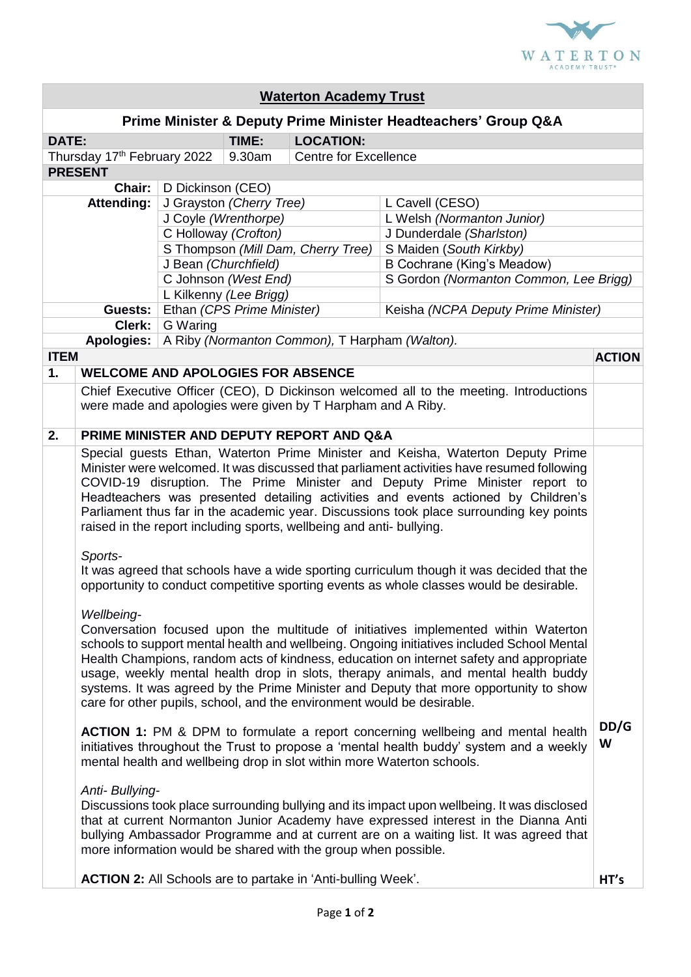

| <b>Waterton Academy Trust</b> |                                                                                                                                                                                                                                                                                                                                                                                                                                                                                                                      |                                    |                          |                                                                     |                                                                                                                                                                                                                                                                              |               |  |
|-------------------------------|----------------------------------------------------------------------------------------------------------------------------------------------------------------------------------------------------------------------------------------------------------------------------------------------------------------------------------------------------------------------------------------------------------------------------------------------------------------------------------------------------------------------|------------------------------------|--------------------------|---------------------------------------------------------------------|------------------------------------------------------------------------------------------------------------------------------------------------------------------------------------------------------------------------------------------------------------------------------|---------------|--|
|                               |                                                                                                                                                                                                                                                                                                                                                                                                                                                                                                                      |                                    |                          |                                                                     | Prime Minister & Deputy Prime Minister Headteachers' Group Q&A                                                                                                                                                                                                               |               |  |
| DATE:                         |                                                                                                                                                                                                                                                                                                                                                                                                                                                                                                                      |                                    | TIME:                    | <b>LOCATION:</b>                                                    |                                                                                                                                                                                                                                                                              |               |  |
| Thursday 17th February 2022   |                                                                                                                                                                                                                                                                                                                                                                                                                                                                                                                      |                                    | 9.30am                   | <b>Centre for Excellence</b>                                        |                                                                                                                                                                                                                                                                              |               |  |
|                               | <b>PRESENT</b>                                                                                                                                                                                                                                                                                                                                                                                                                                                                                                       |                                    |                          |                                                                     |                                                                                                                                                                                                                                                                              |               |  |
|                               | Chair:                                                                                                                                                                                                                                                                                                                                                                                                                                                                                                               | D Dickinson (CEO)                  |                          |                                                                     |                                                                                                                                                                                                                                                                              |               |  |
| <b>Attending:</b>             |                                                                                                                                                                                                                                                                                                                                                                                                                                                                                                                      |                                    | J Grayston (Cherry Tree) |                                                                     | L Cavell (CESO)                                                                                                                                                                                                                                                              |               |  |
|                               |                                                                                                                                                                                                                                                                                                                                                                                                                                                                                                                      |                                    | J Coyle (Wrenthorpe)     |                                                                     | L Welsh (Normanton Junior)                                                                                                                                                                                                                                                   |               |  |
|                               |                                                                                                                                                                                                                                                                                                                                                                                                                                                                                                                      | C Holloway (Crofton)               |                          |                                                                     | J Dunderdale (Sharlston)                                                                                                                                                                                                                                                     |               |  |
|                               |                                                                                                                                                                                                                                                                                                                                                                                                                                                                                                                      | S Thompson (Mill Dam, Cherry Tree) |                          |                                                                     | S Maiden (South Kirkby)                                                                                                                                                                                                                                                      |               |  |
|                               |                                                                                                                                                                                                                                                                                                                                                                                                                                                                                                                      | J Bean (Churchfield)               |                          |                                                                     | <b>B Cochrane (King's Meadow)</b>                                                                                                                                                                                                                                            |               |  |
|                               |                                                                                                                                                                                                                                                                                                                                                                                                                                                                                                                      | C Johnson (West End)               |                          |                                                                     | S Gordon (Normanton Common, Lee Brigg)                                                                                                                                                                                                                                       |               |  |
|                               |                                                                                                                                                                                                                                                                                                                                                                                                                                                                                                                      | L Kilkenny (Lee Brigg)             |                          |                                                                     |                                                                                                                                                                                                                                                                              |               |  |
|                               | Guests:                                                                                                                                                                                                                                                                                                                                                                                                                                                                                                              | Ethan (CPS Prime Minister)         |                          |                                                                     | Keisha (NCPA Deputy Prime Minister)                                                                                                                                                                                                                                          |               |  |
|                               | Clerk:                                                                                                                                                                                                                                                                                                                                                                                                                                                                                                               | G Waring                           |                          |                                                                     |                                                                                                                                                                                                                                                                              |               |  |
|                               | Apologies:                                                                                                                                                                                                                                                                                                                                                                                                                                                                                                           |                                    |                          | A Riby (Normanton Common), T Harpham (Walton).                      |                                                                                                                                                                                                                                                                              |               |  |
| <b>ITEM</b>                   |                                                                                                                                                                                                                                                                                                                                                                                                                                                                                                                      |                                    |                          |                                                                     |                                                                                                                                                                                                                                                                              | <b>ACTION</b> |  |
| 1.                            | <b>WELCOME AND APOLOGIES FOR ABSENCE</b>                                                                                                                                                                                                                                                                                                                                                                                                                                                                             |                                    |                          |                                                                     |                                                                                                                                                                                                                                                                              |               |  |
|                               | Chief Executive Officer (CEO), D Dickinson welcomed all to the meeting. Introductions<br>were made and apologies were given by T Harpham and A Riby.                                                                                                                                                                                                                                                                                                                                                                 |                                    |                          |                                                                     |                                                                                                                                                                                                                                                                              |               |  |
| 2.                            |                                                                                                                                                                                                                                                                                                                                                                                                                                                                                                                      |                                    |                          | PRIME MINISTER AND DEPUTY REPORT AND Q&A                            |                                                                                                                                                                                                                                                                              |               |  |
|                               | Special guests Ethan, Waterton Prime Minister and Keisha, Waterton Deputy Prime<br>Minister were welcomed. It was discussed that parliament activities have resumed following<br>COVID-19 disruption. The Prime Minister and Deputy Prime Minister report to<br>Headteachers was presented detailing activities and events actioned by Children's<br>Parliament thus far in the academic year. Discussions took place surrounding key points<br>raised in the report including sports, wellbeing and anti- bullying. |                                    |                          |                                                                     |                                                                                                                                                                                                                                                                              |               |  |
|                               | Sports-<br>It was agreed that schools have a wide sporting curriculum though it was decided that the<br>opportunity to conduct competitive sporting events as whole classes would be desirable.<br>Wellbeing-<br>Conversation focused upon the multitude of initiatives implemented within Waterton<br>schools to support mental health and wellbeing. Ongoing initiatives included School Mental<br>Health Champions, random acts of kindness, education on internet safety and appropriate                         |                                    |                          |                                                                     |                                                                                                                                                                                                                                                                              |               |  |
|                               | usage, weekly mental health drop in slots, therapy animals, and mental health buddy<br>systems. It was agreed by the Prime Minister and Deputy that more opportunity to show<br>care for other pupils, school, and the environment would be desirable.                                                                                                                                                                                                                                                               |                                    |                          |                                                                     |                                                                                                                                                                                                                                                                              |               |  |
|                               |                                                                                                                                                                                                                                                                                                                                                                                                                                                                                                                      |                                    |                          |                                                                     | ACTION 1: PM & DPM to formulate a report concerning wellbeing and mental health<br>initiatives throughout the Trust to propose a 'mental health buddy' system and a weekly<br>mental health and wellbeing drop in slot within more Waterton schools.                         | DD/G<br>W     |  |
|                               | Anti- Bullying-                                                                                                                                                                                                                                                                                                                                                                                                                                                                                                      |                                    |                          | more information would be shared with the group when possible.      | Discussions took place surrounding bullying and its impact upon wellbeing. It was disclosed<br>that at current Normanton Junior Academy have expressed interest in the Dianna Anti<br>bullying Ambassador Programme and at current are on a waiting list. It was agreed that |               |  |
|                               |                                                                                                                                                                                                                                                                                                                                                                                                                                                                                                                      |                                    |                          | <b>ACTION 2:</b> All Schools are to partake in 'Anti-bulling Week'. |                                                                                                                                                                                                                                                                              | HT's          |  |